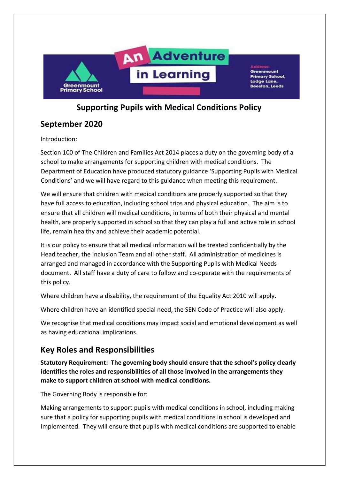

## Supporting Pupils with Medical Conditions Policy

# September 2020

Introduction:

Section 100 of The Children and Families Act 2014 places a duty on the governing body of a school to make arrangements for supporting children with medical conditions. The Department of Education have produced statutory guidance 'Supporting Pupils with Medical Conditions' and we will have regard to this guidance when meeting this requirement.

We will ensure that children with medical conditions are properly supported so that they have full access to education, including school trips and physical education. The aim is to ensure that all children will medical conditions, in terms of both their physical and mental health, are properly supported in school so that they can play a full and active role in school life, remain healthy and achieve their academic potential.

It is our policy to ensure that all medical information will be treated confidentially by the Head teacher, the Inclusion Team and all other staff. All administration of medicines is arranged and managed in accordance with the Supporting Pupils with Medical Needs document. All staff have a duty of care to follow and co-operate with the requirements of this policy.

Where children have a disability, the requirement of the Equality Act 2010 will apply.

Where children have an identified special need, the SEN Code of Practice will also apply.

We recognise that medical conditions may impact social and emotional development as well as having educational implications.

# Key Roles and Responsibilities

Statutory Requirement: The governing body should ensure that the school's policy clearly identifies the roles and responsibilities of all those involved in the arrangements they make to support children at school with medical conditions.

The Governing Body is responsible for:

Making arrangements to support pupils with medical conditions in school, including making sure that a policy for supporting pupils with medical conditions in school is developed and implemented. They will ensure that pupils with medical conditions are supported to enable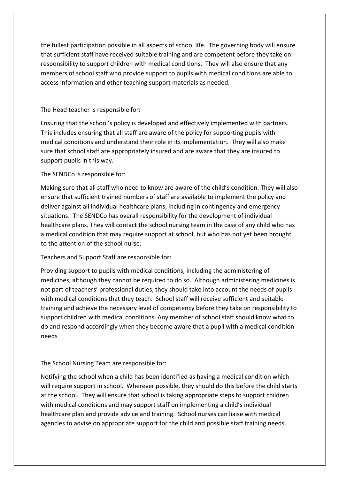the fullest participation possible in all aspects of school life. The governing body will ensure that sufficient staff have received suitable training and are competent before they take on responsibility to support children with medical conditions. They will also ensure that any members of school staff who provide support to pupils with medical conditions are able to access information and other teaching support materials as needed.

### The Head teacher is responsible for:

Ensuring that the school's policy is developed and effectively implemented with partners. This includes ensuring that all staff are aware of the policy for supporting pupils with medical conditions and understand their role in its implementation. They will also make sure that school staff are appropriately insured and are aware that they are insured to support pupils in this way.

### The SENDCo is responsible for:

Making sure that all staff who need to know are aware of the child's condition. They will also ensure that sufficient trained numbers of staff are available to implement the policy and deliver against all individual healthcare plans, including in contingency and emergency situations. The SENDCo has overall responsibility for the development of individual healthcare plans. They will contact the school nursing team in the case of any child who has a medical condition that may require support at school, but who has not yet been brought to the attention of the school nurse.

### Teachers and Support Staff are responsible for:

Providing support to pupils with medical conditions, including the administering of medicines, although they cannot be required to do so. Although administering medicines is not part of teachers' professional duties, they should take into account the needs of pupils with medical conditions that they teach. School staff will receive sufficient and suitable training and achieve the necessary level of competency before they take on responsibility to support children with medical conditions. Any member of school staff should know what to do and respond accordingly when they become aware that a pupil with a medical condition needs

### The School Nursing Team are responsible for:

Notifying the school when a child has been identified as having a medical condition which will require support in school. Wherever possible, they should do this before the child starts at the school. They will ensure that school is taking appropriate steps to support children with medical conditions and may support staff on implementing a child's individual healthcare plan and provide advice and training. School nurses can liaise with medical agencies to advise on appropriate support for the child and possible staff training needs.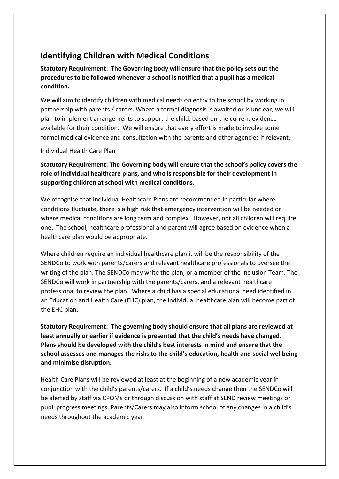# Identifying Children with Medical Conditions

Statutory Requirement: The Governing body will ensure that the policy sets out the procedures to be followed whenever a school is notified that a pupil has a medical condition.

We will aim to identify children with medical needs on entry to the school by working in partnership with parents / carers. Where a formal diagnosis is awaited or is unclear, we will plan to implement arrangements to support the child, based on the current evidence available for their condition. We will ensure that every effort is made to involve some formal medical evidence and consultation with the parents and other agencies if relevant.

#### Individual Health Care Plan

Statutory Requirement: The Governing body will ensure that the school's policy covers the role of individual healthcare plans, and who is responsible for their development in supporting children at school with medical conditions.

We recognise that Individual Healthcare Plans are recommended in particular where conditions fluctuate, there is a high risk that emergency intervention will be needed or where medical conditions are long term and complex. However, not all children will require one. The school, healthcare professional and parent will agree based on evidence when a healthcare plan would be appropriate.

Where children require an individual healthcare plan it will be the responsibility of the SENDCo to work with parents/carers and relevant healthcare professionals to oversee the writing of the plan. The SENDCo may write the plan, or a member of the Inclusion Team. The SENDCo will work in partnership with the parents/carers, and a relevant healthcare professional to review the plan. Where a child has a special educational need identified in an Education and Health Care (EHC) plan, the individual healthcare plan will become part of the EHC plan.

Statutory Requirement: The governing body should ensure that all plans are reviewed at least annually or earlier if evidence is presented that the child's needs have changed. Plans should be developed with the child's best interests in mind and ensure that the school assesses and manages the risks to the child's education, health and social wellbeing and minimise disruption.

Health Care Plans will be reviewed at least at the beginning of a new academic year in conjunction with the child's parents/carers. If a child's needs change then the SENDCo will be alerted by staff via CPOMs or through discussion with staff at SEND review meetings or pupil progress meetings. Parents/Carers may also inform school of any changes in a child's needs throughout the academic year.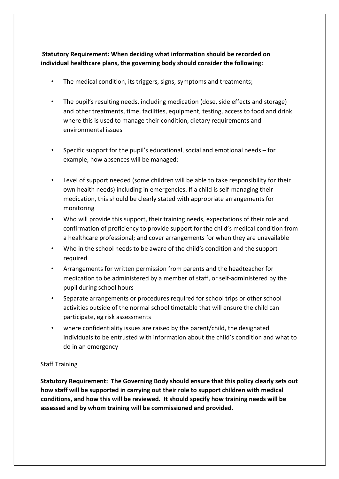## Statutory Requirement: When deciding what information should be recorded on individual healthcare plans, the governing body should consider the following:

- The medical condition, its triggers, signs, symptoms and treatments;
- The pupil's resulting needs, including medication (dose, side effects and storage) and other treatments, time, facilities, equipment, testing, access to food and drink where this is used to manage their condition, dietary requirements and environmental issues
- Specific support for the pupil's educational, social and emotional needs for example, how absences will be managed:
- Level of support needed (some children will be able to take responsibility for their own health needs) including in emergencies. If a child is self-managing their medication, this should be clearly stated with appropriate arrangements for monitoring
- Who will provide this support, their training needs, expectations of their role and confirmation of proficiency to provide support for the child's medical condition from a healthcare professional; and cover arrangements for when they are unavailable
- Who in the school needs to be aware of the child's condition and the support required
- Arrangements for written permission from parents and the headteacher for medication to be administered by a member of staff, or self-administered by the pupil during school hours
- Separate arrangements or procedures required for school trips or other school activities outside of the normal school timetable that will ensure the child can participate, eg risk assessments
- where confidentiality issues are raised by the parent/child, the designated individuals to be entrusted with information about the child's condition and what to do in an emergency

### Staff Training

Statutory Requirement: The Governing Body should ensure that this policy clearly sets out how staff will be supported in carrying out their role to support children with medical conditions, and how this will be reviewed. It should specify how training needs will be assessed and by whom training will be commissioned and provided.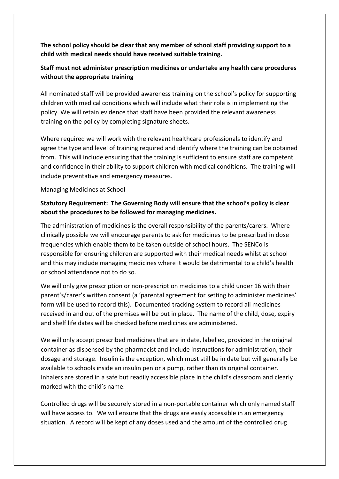The school policy should be clear that any member of school staff providing support to a child with medical needs should have received suitable training.

## Staff must not administer prescription medicines or undertake any health care procedures without the appropriate training

All nominated staff will be provided awareness training on the school's policy for supporting children with medical conditions which will include what their role is in implementing the policy. We will retain evidence that staff have been provided the relevant awareness training on the policy by completing signature sheets.

Where required we will work with the relevant healthcare professionals to identify and agree the type and level of training required and identify where the training can be obtained from. This will include ensuring that the training is sufficient to ensure staff are competent and confidence in their ability to support children with medical conditions. The training will include preventative and emergency measures.

#### Managing Medicines at School

### Statutory Requirement: The Governing Body will ensure that the school's policy is clear about the procedures to be followed for managing medicines.

The administration of medicines is the overall responsibility of the parents/carers. Where clinically possible we will encourage parents to ask for medicines to be prescribed in dose frequencies which enable them to be taken outside of school hours. The SENCo is responsible for ensuring children are supported with their medical needs whilst at school and this may include managing medicines where it would be detrimental to a child's health or school attendance not to do so.

We will only give prescription or non-prescription medicines to a child under 16 with their parent's/carer's written consent (a 'parental agreement for setting to administer medicines' form will be used to record this). Documented tracking system to record all medicines received in and out of the premises will be put in place. The name of the child, dose, expiry and shelf life dates will be checked before medicines are administered.

We will only accept prescribed medicines that are in date, labelled, provided in the original container as dispensed by the pharmacist and include instructions for administration, their dosage and storage. Insulin is the exception, which must still be in date but will generally be available to schools inside an insulin pen or a pump, rather than its original container. Inhalers are stored in a safe but readily accessible place in the child's classroom and clearly marked with the child's name.

Controlled drugs will be securely stored in a non-portable container which only named staff will have access to. We will ensure that the drugs are easily accessible in an emergency situation. A record will be kept of any doses used and the amount of the controlled drug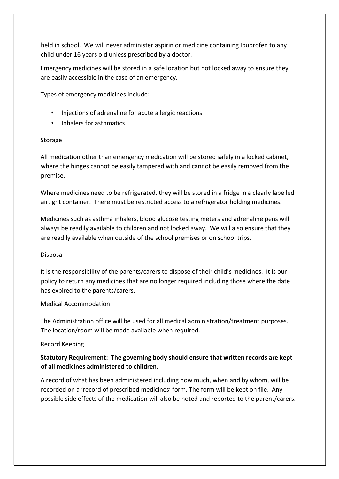held in school. We will never administer aspirin or medicine containing Ibuprofen to any child under 16 years old unless prescribed by a doctor.

Emergency medicines will be stored in a safe location but not locked away to ensure they are easily accessible in the case of an emergency.

Types of emergency medicines include:

- Injections of adrenaline for acute allergic reactions
- Inhalers for asthmatics

### Storage

All medication other than emergency medication will be stored safely in a locked cabinet, where the hinges cannot be easily tampered with and cannot be easily removed from the premise.

Where medicines need to be refrigerated, they will be stored in a fridge in a clearly labelled airtight container. There must be restricted access to a refrigerator holding medicines.

Medicines such as asthma inhalers, blood glucose testing meters and adrenaline pens will always be readily available to children and not locked away. We will also ensure that they are readily available when outside of the school premises or on school trips.

### Disposal

It is the responsibility of the parents/carers to dispose of their child's medicines. It is our policy to return any medicines that are no longer required including those where the date has expired to the parents/carers.

### Medical Accommodation

The Administration office will be used for all medical administration/treatment purposes. The location/room will be made available when required.

### Record Keeping

## Statutory Requirement: The governing body should ensure that written records are kept of all medicines administered to children.

A record of what has been administered including how much, when and by whom, will be recorded on a 'record of prescribed medicines' form. The form will be kept on file. Any possible side effects of the medication will also be noted and reported to the parent/carers.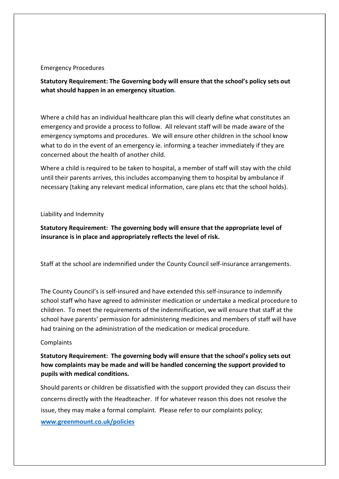#### Emergency Procedures

Statutory Requirement: The Governing body will ensure that the school's policy sets out what should happen in an emergency situation.

Where a child has an individual healthcare plan this will clearly define what constitutes an emergency and provide a process to follow. All relevant staff will be made aware of the emergency symptoms and procedures. We will ensure other children in the school know what to do in the event of an emergency ie. informing a teacher immediately if they are concerned about the health of another child.

Where a child is required to be taken to hospital, a member of staff will stay with the child until their parents arrives, this includes accompanying them to hospital by ambulance if necessary (taking any relevant medical information, care plans etc that the school holds).

#### Liability and Indemnity

Statutory Requirement: The governing body will ensure that the appropriate level of insurance is in place and appropriately reflects the level of risk.

Staff at the school are indemnified under the County Council self-insurance arrangements.

The County Council's is self-insured and have extended this self-insurance to indemnify school staff who have agreed to administer medication or undertake a medical procedure to children. To meet the requirements of the indemnification, we will ensure that staff at the school have parents' permission for administering medicines and members of staff will have had training on the administration of the medication or medical procedure.

#### **Complaints**

Statutory Requirement: The governing body will ensure that the school's policy sets out how complaints may be made and will be handled concerning the support provided to pupils with medical conditions.

Should parents or children be dissatisfied with the support provided they can discuss their concerns directly with the Headteacher. If for whatever reason this does not resolve the issue, they may make a formal complaint. Please refer to our complaints policy; www.greenmount.co.uk/policies